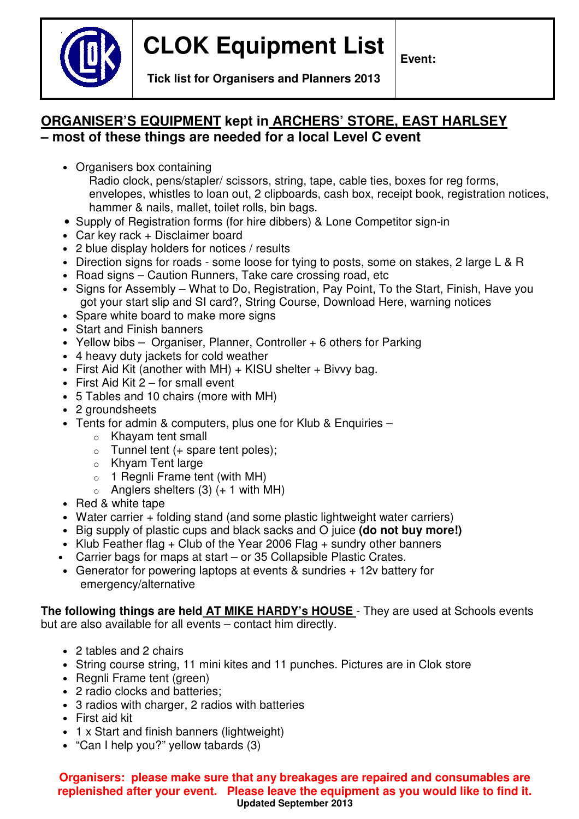

**Event:** 

**Tick list for Organisers and Planners 2013** 

## **ORGANISER'S EQUIPMENT kept in ARCHERS' STORE, EAST HARLSEY – most of these things are needed for a local Level C event**

• Organisers box containing

Radio clock, pens/stapler/ scissors, string, tape, cable ties, boxes for reg forms, envelopes, whistles to loan out, 2 clipboards, cash box, receipt book, registration notices, hammer & nails, mallet, toilet rolls, bin bags.

- Supply of Registration forms (for hire dibbers) & Lone Competitor sign-in
- Car key rack + Disclaimer board
- 2 blue display holders for notices / results
- Direction signs for roads some loose for tying to posts, some on stakes, 2 large L & R
- Road signs Caution Runners, Take care crossing road, etc
- Signs for Assembly What to Do, Registration, Pay Point, To the Start, Finish, Have you got your start slip and SI card?, String Course, Download Here, warning notices
- Spare white board to make more signs
- Start and Finish banners
- Yellow bibs Organiser, Planner, Controller + 6 others for Parking
- 4 heavy duty jackets for cold weather
- First Aid Kit (another with MH)  $+$  KISU shelter  $+$  Bivvy bag.
- $\bullet$  First Aid Kit 2 for small event
- 5 Tables and 10 chairs (more with MH)
- 2 aroundsheets
- Tents for admin & computers, plus one for Klub & Enquiries
	- o Khayam tent small
	- $\circ$  Tunnel tent (+ spare tent poles);
	- o Khyam Tent large
	- $\circ$  1 Regnli Frame tent (with MH)
	- $\circ$  Anglers shelters (3) (+ 1 with MH)
- Red & white tape
- Water carrier + folding stand (and some plastic lightweight water carriers)
- Big supply of plastic cups and black sacks and O juice **(do not buy more!)**
- Klub Feather flag + Club of the Year 2006 Flag + sundry other banners
- Carrier bags for maps at start or 35 Collapsible Plastic Crates.
- Generator for powering laptops at events & sundries + 12v battery for emergency/alternative

**The following things are held AT MIKE HARDY's HOUSE** - They are used at Schools events but are also available for all events – contact him directly.

- 2 tables and 2 chairs
- String course string, 11 mini kites and 11 punches. Pictures are in Clok store
- Regnli Frame tent (green)
- 2 radio clocks and batteries;
- 3 radios with charger, 2 radios with batteries
- First aid kit
- 1 x Start and finish banners (lightweight)
- "Can I help you?" yellow tabards (3)

#### **Organisers: please make sure that any breakages are repaired and consumables are replenished after your event. Please leave the equipment as you would like to find it. Updated September 2013**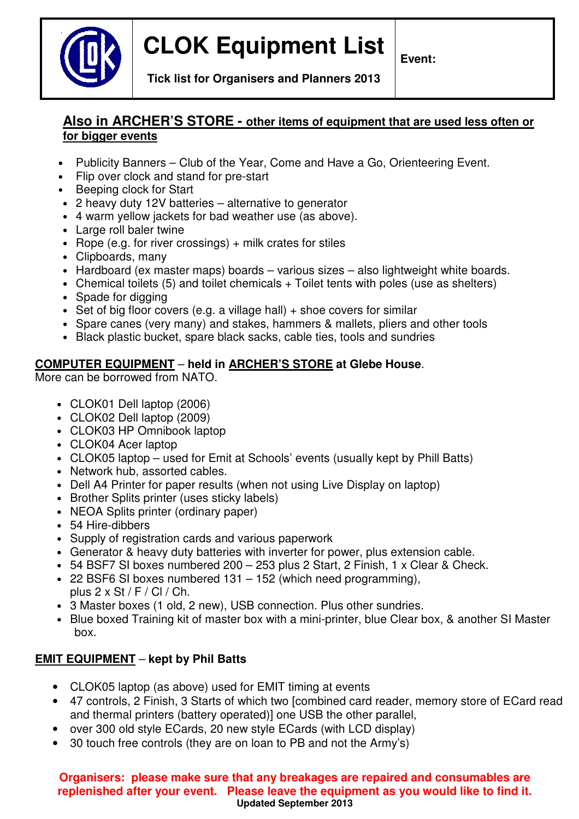

# **CLOK Equipment List**

**Event:** 

**Tick list for Organisers and Planners 2013** 

### **Also in ARCHER'S STORE - other items of equipment that are used less often or for bigger events**

- Publicity Banners Club of the Year, Come and Have a Go, Orienteering Event.
- Flip over clock and stand for pre-start
- Beeping clock for Start
- 2 heavy duty 12V batteries alternative to generator
- 4 warm yellow jackets for bad weather use (as above).
- Large roll baler twine
- Rope (e.g. for river crossings)  $+$  milk crates for stiles
- Clipboards, many
- Hardboard (ex master maps) boards various sizes also lightweight white boards.
- Chemical toilets (5) and toilet chemicals + Toilet tents with poles (use as shelters)
- Spade for digging
- Set of big floor covers (e.g. a village hall)  $+$  shoe covers for similar
- Spare canes (very many) and stakes, hammers & mallets, pliers and other tools
- Black plastic bucket, spare black sacks, cable ties, tools and sundries

#### **COMPUTER EQUIPMENT** – **held in ARCHER'S STORE at Glebe House**.

More can be borrowed from NATO.

- CLOK01 Dell laptop (2006)
- CLOK02 Dell laptop (2009)
- CLOK03 HP Omnibook laptop
- CLOK04 Acer laptop
- CLOK05 laptop used for Emit at Schools' events (usually kept by Phill Batts)
- Network hub, assorted cables.
- Dell A4 Printer for paper results (when not using Live Display on laptop)
- Brother Splits printer (uses sticky labels)
- NEOA Splits printer (ordinary paper)
- 54 Hire-dibbers
- Supply of registration cards and various paperwork
- Generator & heavy duty batteries with inverter for power, plus extension cable.
- 54 BSF7 SI boxes numbered 200 253 plus 2 Start, 2 Finish, 1 x Clear & Check.
- 22 BSF6 SI boxes numbered 131 152 (which need programming), plus  $2 \times St / F / Cl / Ch$ .
- 3 Master boxes (1 old, 2 new), USB connection. Plus other sundries.
- Blue boxed Training kit of master box with a mini-printer, blue Clear box, & another SI Master box.

### **EMIT EQUIPMENT** – **kept by Phil Batts**

- CLOK05 laptop (as above) used for EMIT timing at events
- 47 controls, 2 Finish, 3 Starts of which two [combined card reader, memory store of ECard read and thermal printers (battery operated)] one USB the other parallel,
- over 300 old style ECards, 20 new style ECards (with LCD display)
- 30 touch free controls (they are on loan to PB and not the Army's)

**Organisers: please make sure that any breakages are repaired and consumables are replenished after your event. Please leave the equipment as you would like to find it. Updated September 2013**